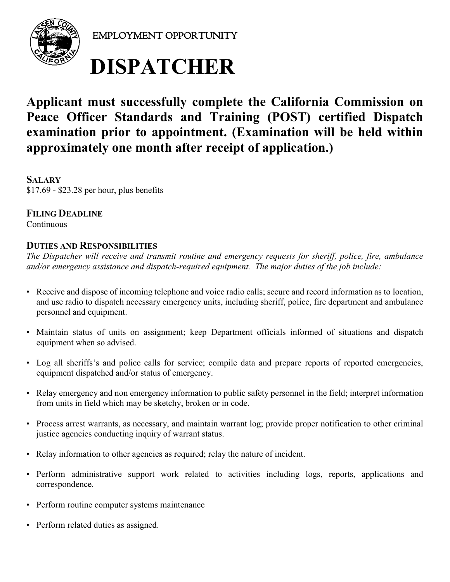

EMPLOYMENT OPPORTUNITY

# **DISPATCHER**

# **Applicant must successfully complete the California Commission on Peace Officer Standards and Training (POST) certified Dispatch examination prior to appointment. (Examination will be held within approximately one month after receipt of application.)**

**SALARY**  \$17.69 - \$23.28 per hour, plus benefits

**FILING DEADLINE Continuous** 

## **DUTIES AND RESPONSIBILITIES**

*The Dispatcher will receive and transmit routine and emergency requests for sheriff, police, fire, ambulance and/or emergency assistance and dispatch-required equipment. The major duties of the job include:*

- Receive and dispose of incoming telephone and voice radio calls; secure and record information as to location, and use radio to dispatch necessary emergency units, including sheriff, police, fire department and ambulance personnel and equipment.
- Maintain status of units on assignment; keep Department officials informed of situations and dispatch equipment when so advised.
- Log all sheriffs's and police calls for service; compile data and prepare reports of reported emergencies, equipment dispatched and/or status of emergency.
- Relay emergency and non emergency information to public safety personnel in the field; interpret information from units in field which may be sketchy, broken or in code.
- Process arrest warrants, as necessary, and maintain warrant log; provide proper notification to other criminal justice agencies conducting inquiry of warrant status.
- Relay information to other agencies as required; relay the nature of incident.
- Perform administrative support work related to activities including logs, reports, applications and correspondence.
- Perform routine computer systems maintenance
- Perform related duties as assigned.